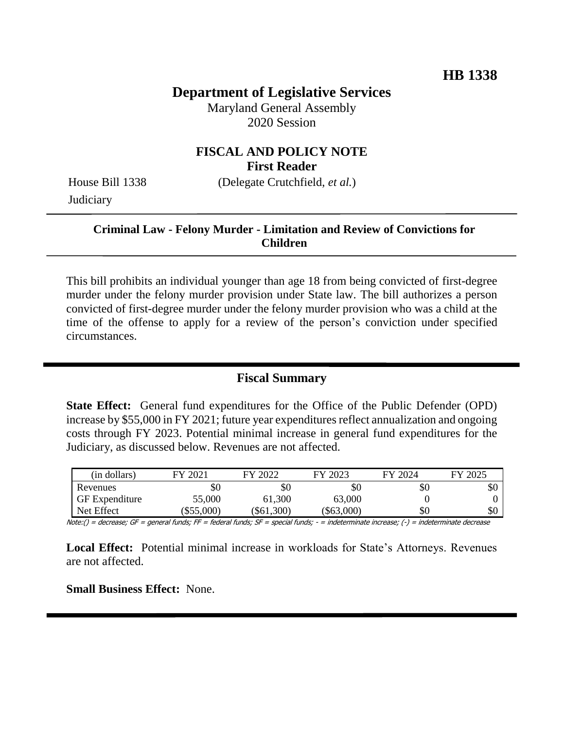# **Department of Legislative Services**

Maryland General Assembly 2020 Session

### **FISCAL AND POLICY NOTE First Reader**

**Judiciary** 

House Bill 1338 (Delegate Crutchfield, *et al.*)

## **Criminal Law - Felony Murder - Limitation and Review of Convictions for Children**

This bill prohibits an individual younger than age 18 from being convicted of first-degree murder under the felony murder provision under State law. The bill authorizes a person convicted of first-degree murder under the felony murder provision who was a child at the time of the offense to apply for a review of the person's conviction under specified circumstances.

## **Fiscal Summary**

**State Effect:** General fund expenditures for the Office of the Public Defender (OPD) increase by \$55,000 in FY 2021; future year expenditures reflect annualization and ongoing costs through FY 2023. Potential minimal increase in general fund expenditures for the Judiciary, as discussed below. Revenues are not affected.

| (in dollars)          | FY 2021  | FY 2022  | FY 2023  | FY 2024 | FY 2025 |
|-----------------------|----------|----------|----------|---------|---------|
| Revenues              | \$0      | \$0      | \$0      | \$0     | \$0     |
| <b>GF</b> Expenditure | 55,000   | 61,300   | 63,000   |         |         |
| Net Effect            | \$55,000 | \$61,300 | \$63,000 | \$0     | \$0     |

Note:() = decrease; GF = general funds; FF = federal funds; SF = special funds; - = indeterminate increase; (-) = indeterminate decrease

**Local Effect:** Potential minimal increase in workloads for State's Attorneys. Revenues are not affected.

**Small Business Effect:** None.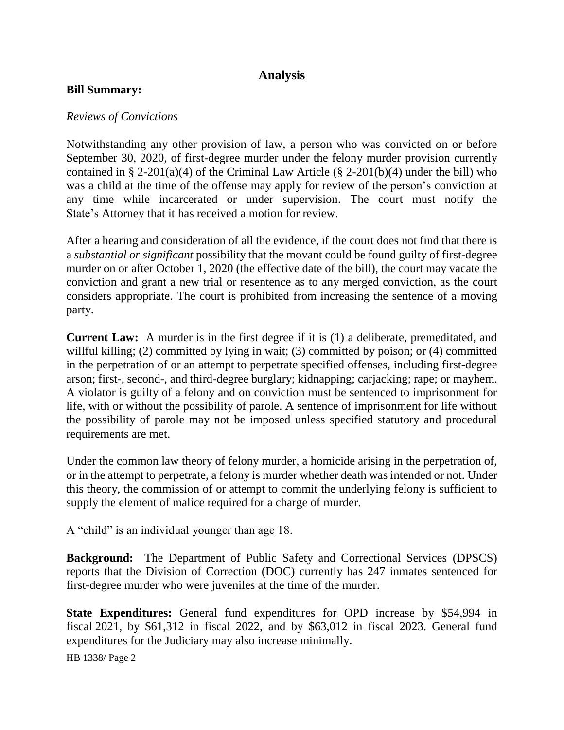# **Analysis**

### **Bill Summary:**

### *Reviews of Convictions*

Notwithstanding any other provision of law, a person who was convicted on or before September 30, 2020, of first-degree murder under the felony murder provision currently contained in § 2-201(a)(4) of the Criminal Law Article (§ 2-201(b)(4) under the bill) who was a child at the time of the offense may apply for review of the person's conviction at any time while incarcerated or under supervision. The court must notify the State's Attorney that it has received a motion for review.

After a hearing and consideration of all the evidence, if the court does not find that there is a *substantial or significant* possibility that the movant could be found guilty of first-degree murder on or after October 1, 2020 (the effective date of the bill), the court may vacate the conviction and grant a new trial or resentence as to any merged conviction, as the court considers appropriate. The court is prohibited from increasing the sentence of a moving party.

**Current Law:** A murder is in the first degree if it is (1) a deliberate, premeditated, and willful killing; (2) committed by lying in wait; (3) committed by poison; or (4) committed in the perpetration of or an attempt to perpetrate specified offenses, including first-degree arson; first-, second-, and third-degree burglary; kidnapping; carjacking; rape; or mayhem. A violator is guilty of a felony and on conviction must be sentenced to imprisonment for life, with or without the possibility of parole. A sentence of imprisonment for life without the possibility of parole may not be imposed unless specified statutory and procedural requirements are met.

Under the common law theory of felony murder, a homicide arising in the perpetration of, or in the attempt to perpetrate, a felony is murder whether death was intended or not. Under this theory, the commission of or attempt to commit the underlying felony is sufficient to supply the element of malice required for a charge of murder.

A "child" is an individual younger than age 18.

**Background:** The Department of Public Safety and Correctional Services (DPSCS) reports that the Division of Correction (DOC) currently has 247 inmates sentenced for first-degree murder who were juveniles at the time of the murder.

**State Expenditures:** General fund expenditures for OPD increase by \$54,994 in fiscal 2021, by \$61,312 in fiscal 2022, and by \$63,012 in fiscal 2023. General fund expenditures for the Judiciary may also increase minimally.

HB 1338/ Page 2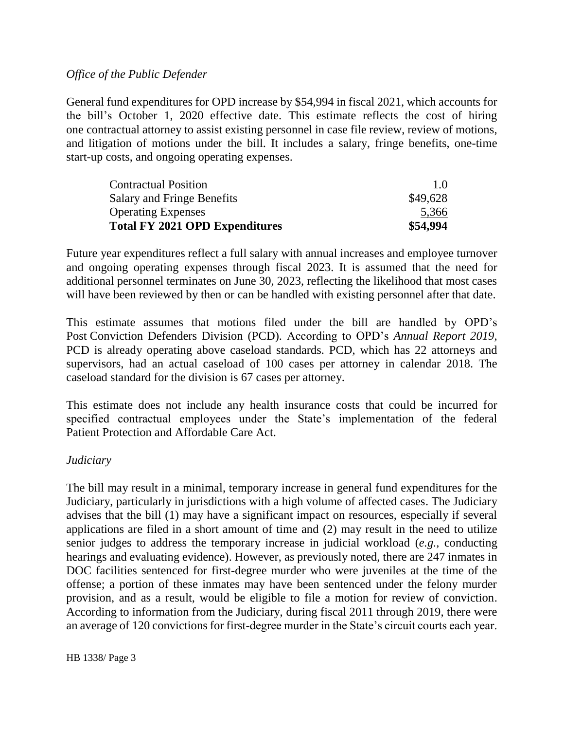### *Office of the Public Defender*

General fund expenditures for OPD increase by \$54,994 in fiscal 2021, which accounts for the bill's October 1, 2020 effective date. This estimate reflects the cost of hiring one contractual attorney to assist existing personnel in case file review, review of motions, and litigation of motions under the bill. It includes a salary, fringe benefits, one-time start-up costs, and ongoing operating expenses.

| <b>Total FY 2021 OPD Expenditures</b> | \$54,994 |
|---------------------------------------|----------|
| <b>Operating Expenses</b>             | 5,366    |
| <b>Salary and Fringe Benefits</b>     | \$49,628 |
| <b>Contractual Position</b>           | 1.0      |

Future year expenditures reflect a full salary with annual increases and employee turnover and ongoing operating expenses through fiscal 2023. It is assumed that the need for additional personnel terminates on June 30, 2023, reflecting the likelihood that most cases will have been reviewed by then or can be handled with existing personnel after that date.

This estimate assumes that motions filed under the bill are handled by OPD's Post Conviction Defenders Division (PCD). According to OPD's *Annual Report 2019*, PCD is already operating above caseload standards. PCD, which has 22 attorneys and supervisors, had an actual caseload of 100 cases per attorney in calendar 2018. The caseload standard for the division is 67 cases per attorney.

This estimate does not include any health insurance costs that could be incurred for specified contractual employees under the State's implementation of the federal Patient Protection and Affordable Care Act.

#### *Judiciary*

The bill may result in a minimal, temporary increase in general fund expenditures for the Judiciary, particularly in jurisdictions with a high volume of affected cases. The Judiciary advises that the bill (1) may have a significant impact on resources, especially if several applications are filed in a short amount of time and (2) may result in the need to utilize senior judges to address the temporary increase in judicial workload (*e.g.,* conducting hearings and evaluating evidence). However, as previously noted, there are 247 inmates in DOC facilities sentenced for first-degree murder who were juveniles at the time of the offense; a portion of these inmates may have been sentenced under the felony murder provision, and as a result, would be eligible to file a motion for review of conviction. According to information from the Judiciary, during fiscal 2011 through 2019, there were an average of 120 convictions for first-degree murder in the State's circuit courts each year.